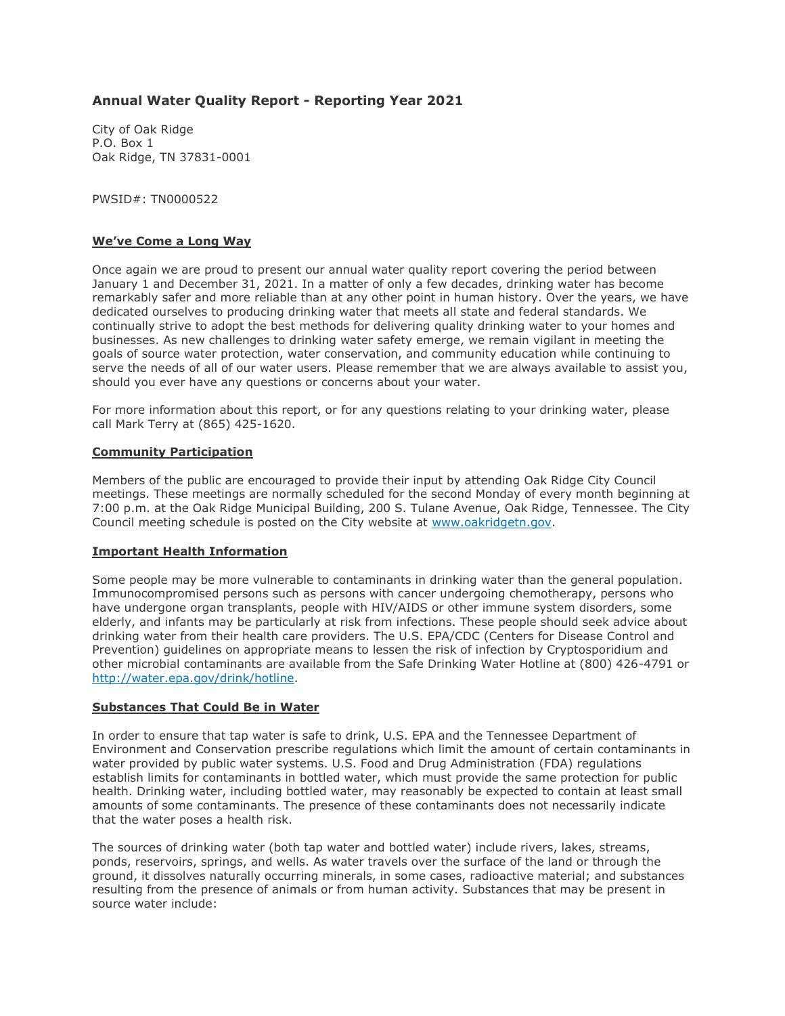# **Annual Water Quality Report - Reporting Year 2021**

City of Oak Ridge P.O. Box 1 Oak Ridge, TN 37831-0001

PWSID#: TN0000522

## **We've Come a Long Way**

Once again we are proud to present our annual water quality report covering the period between January 1 and December 31, 2021. In a matter of only a few decades, drinking water has become remarkably safer and more reliable than at any other point in human history. Over the years, we have dedicated ourselves to producing drinking water that meets all state and federal standards. We continually strive to adopt the best methods for delivering quality drinking water to your homes and businesses. As new challenges to drinking water safety emerge, we remain vigilant in meeting the goals of source water protection, water conservation, and community education while continuing to serve the needs of all of our water users. Please remember that we are always available to assist you, should you ever have any questions or concerns about your water.

For more information about this report, or for any questions relating to your drinking water, please call Mark Terry at (865) 425-1620.

### **Community Participation**

Members of the public are encouraged to provide their input by attending Oak Ridge City Council meetings. These meetings are normally scheduled for the second Monday of every month beginning at 7:00 p.m. at the Oak Ridge Municipal Building, 200 S. Tulane Avenue, Oak Ridge, Tennessee. The City Council meeting schedule is posted on the City website at www.oakridgetn.gov.

#### **Important Health Information**

Some people may be more vulnerable to contaminants in drinking water than the general population. Immunocompromised persons such as persons with cancer undergoing chemotherapy, persons who have undergone organ transplants, people with HIV/AIDS or other immune system disorders, some elderly, and infants may be particularly at risk from infections. These people should seek advice about drinking water from their health care providers. The U.S. EPA/CDC (Centers for Disease Control and Prevention) guidelines on appropriate means to lessen the risk of infection by Cryptosporidium and other microbial contaminants are available from the Safe Drinking Water Hotline at (800) 426-4791 or http://water.epa.gov/drink/hotline.

## **Substances That Could Be in Water**

In order to ensure that tap water is safe to drink, U.S. EPA and the Tennessee Department of Environment and Conservation prescribe regulations which limit the amount of certain contaminants in water provided by public water systems. U.S. Food and Drug Administration (FDA) regulations establish limits for contaminants in bottled water, which must provide the same protection for public health. Drinking water, including bottled water, may reasonably be expected to contain at least small amounts of some contaminants. The presence of these contaminants does not necessarily indicate that the water poses a health risk.

The sources of drinking water (both tap water and bottled water) include rivers, lakes, streams, ponds, reservoirs, springs, and wells. As water travels over the surface of the land or through the ground, it dissolves naturally occurring minerals, in some cases, radioactive material; and substances resulting from the presence of animals or from human activity. Substances that may be present in source water include: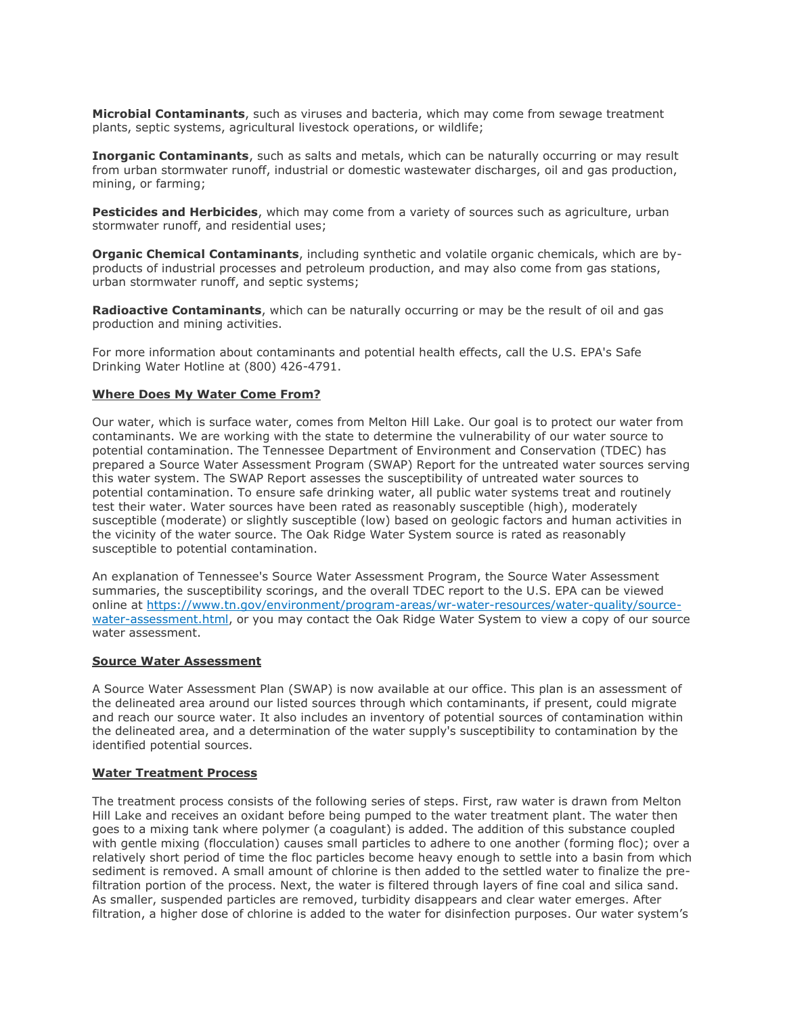**Microbial Contaminants**, such as viruses and bacteria, which may come from sewage treatment plants, septic systems, agricultural livestock operations, or wildlife;

**Inorganic Contaminants**, such as salts and metals, which can be naturally occurring or may result from urban stormwater runoff, industrial or domestic wastewater discharges, oil and gas production, mining, or farming;

**Pesticides and Herbicides**, which may come from a variety of sources such as agriculture, urban stormwater runoff, and residential uses;

**Organic Chemical Contaminants**, including synthetic and volatile organic chemicals, which are byproducts of industrial processes and petroleum production, and may also come from gas stations, urban stormwater runoff, and septic systems;

**Radioactive Contaminants**, which can be naturally occurring or may be the result of oil and gas production and mining activities.

For more information about contaminants and potential health effects, call the U.S. EPA's Safe Drinking Water Hotline at (800) 426-4791.

## **Where Does My Water Come From?**

Our water, which is surface water, comes from Melton Hill Lake. Our goal is to protect our water from contaminants. We are working with the state to determine the vulnerability of our water source to potential contamination. The Tennessee Department of Environment and Conservation (TDEC) has prepared a Source Water Assessment Program (SWAP) Report for the untreated water sources serving this water system. The SWAP Report assesses the susceptibility of untreated water sources to potential contamination. To ensure safe drinking water, all public water systems treat and routinely test their water. Water sources have been rated as reasonably susceptible (high), moderately susceptible (moderate) or slightly susceptible (low) based on geologic factors and human activities in the vicinity of the water source. The Oak Ridge Water System source is rated as reasonably susceptible to potential contamination.

An explanation of Tennessee's Source Water Assessment Program, the Source Water Assessment summaries, the susceptibility scorings, and the overall TDEC report to the U.S. EPA can be viewed online at https://www.tn.gov/environment/program-areas/wr-water-resources/water-quality/sourcewater-assessment.html, or you may contact the Oak Ridge Water System to view a copy of our source water assessment.

#### **Source Water Assessment**

A Source Water Assessment Plan (SWAP) is now available at our office. This plan is an assessment of the delineated area around our listed sources through which contaminants, if present, could migrate and reach our source water. It also includes an inventory of potential sources of contamination within the delineated area, and a determination of the water supply's susceptibility to contamination by the identified potential sources.

#### **Water Treatment Process**

The treatment process consists of the following series of steps. First, raw water is drawn from Melton Hill Lake and receives an oxidant before being pumped to the water treatment plant. The water then goes to a mixing tank where polymer (a coagulant) is added. The addition of this substance coupled with gentle mixing (flocculation) causes small particles to adhere to one another (forming floc); over a relatively short period of time the floc particles become heavy enough to settle into a basin from which sediment is removed. A small amount of chlorine is then added to the settled water to finalize the prefiltration portion of the process. Next, the water is filtered through layers of fine coal and silica sand. As smaller, suspended particles are removed, turbidity disappears and clear water emerges. After filtration, a higher dose of chlorine is added to the water for disinfection purposes. Our water system's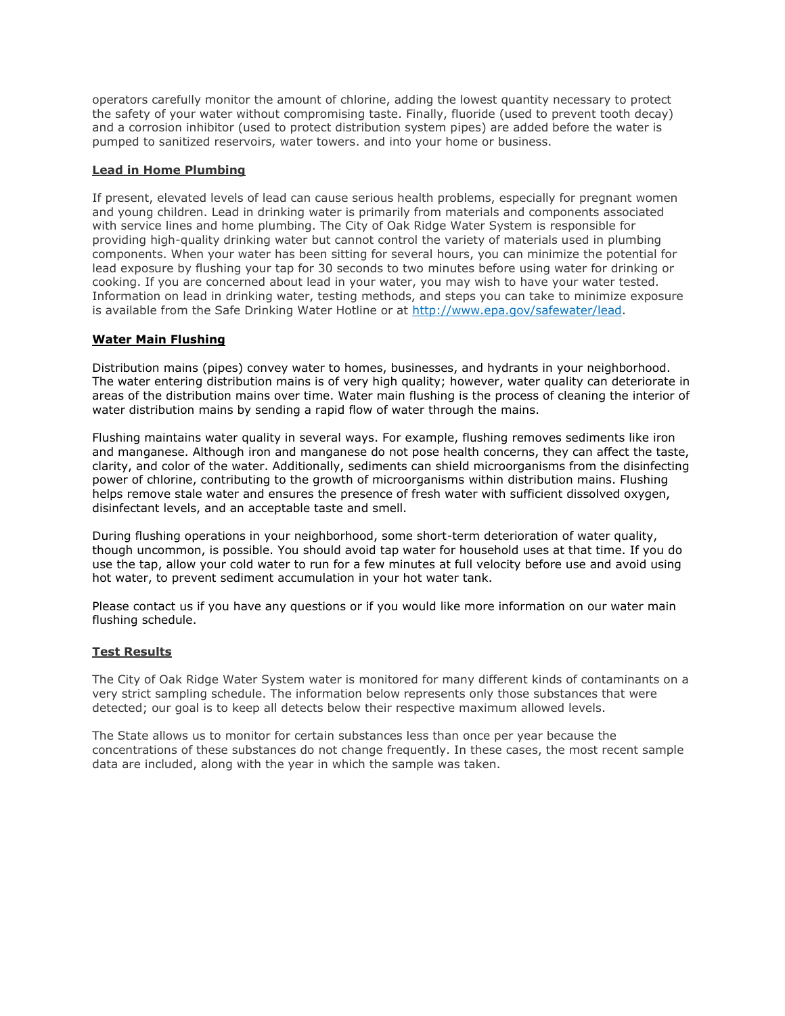operators carefully monitor the amount of chlorine, adding the lowest quantity necessary to protect the safety of your water without compromising taste. Finally, fluoride (used to prevent tooth decay) and a corrosion inhibitor (used to protect distribution system pipes) are added before the water is pumped to sanitized reservoirs, water towers. and into your home or business.

## **Lead in Home Plumbing**

If present, elevated levels of lead can cause serious health problems, especially for pregnant women and young children. Lead in drinking water is primarily from materials and components associated with service lines and home plumbing. The City of Oak Ridge Water System is responsible for providing high-quality drinking water but cannot control the variety of materials used in plumbing components. When your water has been sitting for several hours, you can minimize the potential for lead exposure by flushing your tap for 30 seconds to two minutes before using water for drinking or cooking. If you are concerned about lead in your water, you may wish to have your water tested. Information on lead in drinking water, testing methods, and steps you can take to minimize exposure is available from the Safe Drinking Water Hotline or at http://www.epa.gov/safewater/lead.

### **Water Main Flushing**

Distribution mains (pipes) convey water to homes, businesses, and hydrants in your neighborhood. The water entering distribution mains is of very high quality; however, water quality can deteriorate in areas of the distribution mains over time. Water main flushing is the process of cleaning the interior of water distribution mains by sending a rapid flow of water through the mains.

Flushing maintains water quality in several ways. For example, flushing removes sediments like iron and manganese. Although iron and manganese do not pose health concerns, they can affect the taste, clarity, and color of the water. Additionally, sediments can shield microorganisms from the disinfecting power of chlorine, contributing to the growth of microorganisms within distribution mains. Flushing helps remove stale water and ensures the presence of fresh water with sufficient dissolved oxygen, disinfectant levels, and an acceptable taste and smell.

During flushing operations in your neighborhood, some short-term deterioration of water quality, though uncommon, is possible. You should avoid tap water for household uses at that time. If you do use the tap, allow your cold water to run for a few minutes at full velocity before use and avoid using hot water, to prevent sediment accumulation in your hot water tank.

Please contact us if you have any questions or if you would like more information on our water main flushing schedule.

#### **Test Results**

The City of Oak Ridge Water System water is monitored for many different kinds of contaminants on a very strict sampling schedule. The information below represents only those substances that were detected; our goal is to keep all detects below their respective maximum allowed levels.

The State allows us to monitor for certain substances less than once per year because the concentrations of these substances do not change frequently. In these cases, the most recent sample data are included, along with the year in which the sample was taken.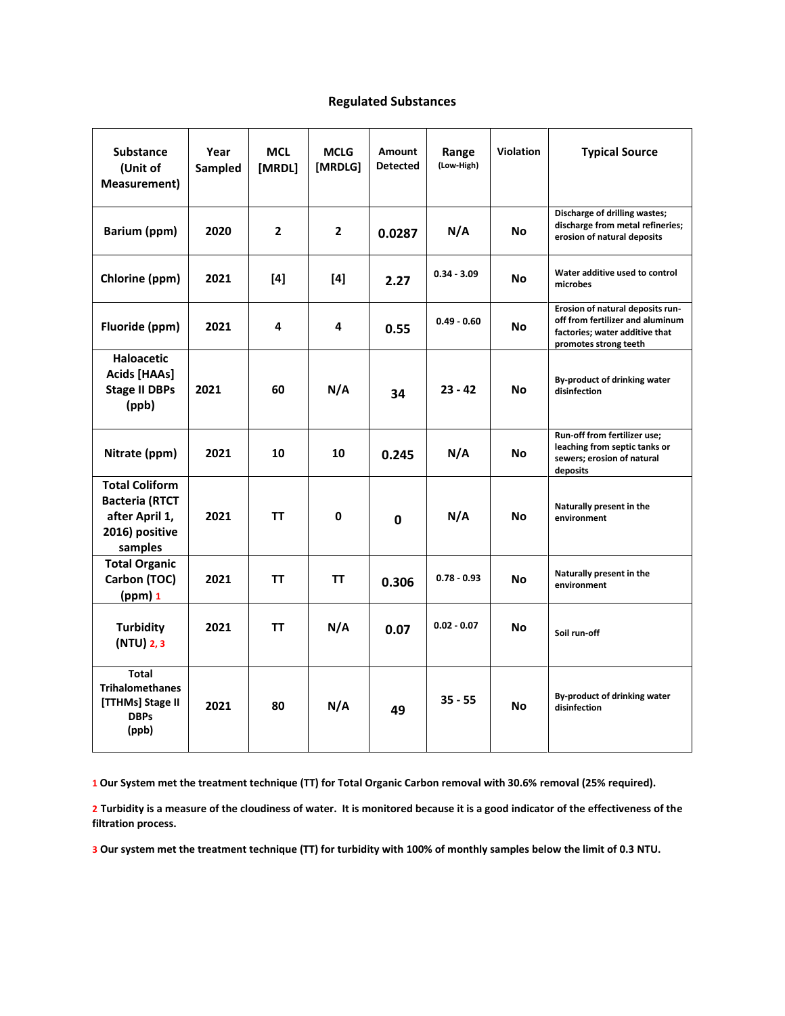# **Regulated Substances**

| <b>Substance</b><br>(Unit of<br>Measurement)                                                  | Year<br>Sampled | <b>MCL</b><br>[MRDL] | <b>MCLG</b><br>[MRDLG] | <b>Amount</b><br><b>Detected</b> | Range<br>(Low-High) | <b>Violation</b> | <b>Typical Source</b>                                                                                                           |
|-----------------------------------------------------------------------------------------------|-----------------|----------------------|------------------------|----------------------------------|---------------------|------------------|---------------------------------------------------------------------------------------------------------------------------------|
| Barium (ppm)                                                                                  | 2020            | $\mathbf{2}$         | $\overline{2}$         | 0.0287                           | N/A                 | No               | Discharge of drilling wastes;<br>discharge from metal refineries;<br>erosion of natural deposits                                |
| Chlorine (ppm)                                                                                | 2021            | $[4]$                | $[4]$                  | 2.27                             | $0.34 - 3.09$       | No               | Water additive used to control<br>microbes                                                                                      |
| Fluoride (ppm)                                                                                | 2021            | 4                    | 4                      | 0.55                             | $0.49 - 0.60$       | <b>No</b>        | Erosion of natural deposits run-<br>off from fertilizer and aluminum<br>factories; water additive that<br>promotes strong teeth |
| <b>Haloacetic</b><br>Acids [HAAs]<br><b>Stage II DBPs</b><br>(ppb)                            | 2021            | 60                   | N/A                    | 34                               | $23 - 42$           | No               | By-product of drinking water<br>disinfection                                                                                    |
| Nitrate (ppm)                                                                                 | 2021            | 10                   | 10                     | 0.245                            | N/A                 | No               | Run-off from fertilizer use;<br>leaching from septic tanks or<br>sewers; erosion of natural<br>deposits                         |
| <b>Total Coliform</b><br><b>Bacteria (RTCT</b><br>after April 1,<br>2016) positive<br>samples | 2021            | TΤ                   | 0                      | 0                                | N/A                 | No               | Naturally present in the<br>environment                                                                                         |
| <b>Total Organic</b><br>Carbon (TOC)<br>$(ppm)$ 1                                             | 2021            | TΤ                   | TΤ                     | 0.306                            | $0.78 - 0.93$       | No.              | Naturally present in the<br>environment                                                                                         |
| <b>Turbidity</b><br>(NTU) 2, 3                                                                | 2021            | TΤ                   | N/A                    | 0.07                             | $0.02 - 0.07$       | No               | Soil run-off                                                                                                                    |
| <b>Total</b><br><b>Trihalomethanes</b><br>[TTHMs] Stage II<br><b>DBPs</b><br>(ppb)            | 2021            | 80                   | N/A                    | 49                               | $35 - 55$           | No               | By-product of drinking water<br>disinfection                                                                                    |

**1 Our System met the treatment technique (TT) for Total Organic Carbon removal with 30.6% removal (25% required).**

**2 Turbidity is a measure of the cloudiness of water. It is monitored because it is a good indicator of the effectiveness of the filtration process.**

**3 Our system met the treatment technique (TT) for turbidity with 100% of monthly samples below the limit of 0.3 NTU.**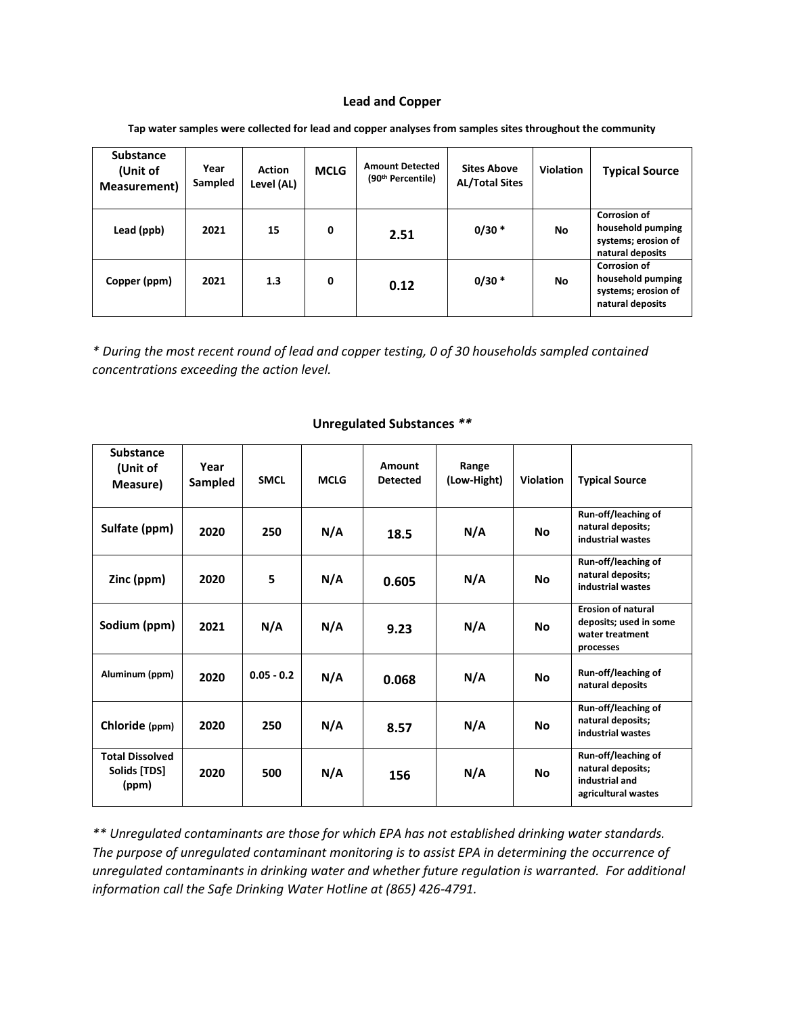### **Lead and Copper**

| <b>Substance</b><br>(Unit of<br>Measurement) | Year<br>Sampled | <b>Action</b><br>Level (AL) | <b>MCLG</b> | <b>Amount Detected</b><br>(90 <sup>th</sup> Percentile) | <b>Sites Above</b><br><b>AL/Total Sites</b> | Violation | <b>Typical Source</b>                                                               |
|----------------------------------------------|-----------------|-----------------------------|-------------|---------------------------------------------------------|---------------------------------------------|-----------|-------------------------------------------------------------------------------------|
| Lead (ppb)                                   | 2021            | 15                          | 0           | 2.51                                                    | $0/30*$                                     | No        | <b>Corrosion of</b><br>household pumping<br>systems; erosion of<br>natural deposits |
| Copper (ppm)                                 | 2021            | 1.3                         | $\mathbf 0$ | 0.12                                                    | $0/30*$                                     | No        | <b>Corrosion of</b><br>household pumping<br>systems; erosion of<br>natural deposits |

**Tap water samples were collected for lead and copper analyses from samples sites throughout the community**

*\* During the most recent round of lead and copper testing, 0 of 30 households sampled contained concentrations exceeding the action level.*

| <b>Substance</b><br>(Unit of<br>Measure)        | Year<br>Sampled | <b>SMCL</b>  | <b>MCLG</b> | Amount<br><b>Detected</b> | Range<br>(Low-Hight) | Violation | <b>Typical Source</b>                                                               |
|-------------------------------------------------|-----------------|--------------|-------------|---------------------------|----------------------|-----------|-------------------------------------------------------------------------------------|
| Sulfate (ppm)                                   | 2020            | 250          | N/A         | 18.5                      | N/A                  | <b>No</b> | Run-off/leaching of<br>natural deposits;<br>industrial wastes                       |
| Zinc (ppm)                                      | 2020            | 5            | N/A         | 0.605                     | N/A                  | <b>No</b> | Run-off/leaching of<br>natural deposits;<br>industrial wastes                       |
| Sodium (ppm)                                    | 2021            | N/A          | N/A         | 9.23                      | N/A                  | Nο        | <b>Erosion of natural</b><br>deposits; used in some<br>water treatment<br>processes |
| Aluminum (ppm)                                  | 2020            | $0.05 - 0.2$ | N/A         | 0.068                     | N/A                  | <b>No</b> | Run-off/leaching of<br>natural deposits                                             |
| Chloride (ppm)                                  | 2020            | 250          | N/A         | 8.57                      | N/A                  | Nο        | Run-off/leaching of<br>natural deposits;<br>industrial wastes                       |
| <b>Total Dissolved</b><br>Solids [TDS]<br>(ppm) | 2020            | 500          | N/A         | 156                       | N/A                  | <b>No</b> | Run-off/leaching of<br>natural deposits;<br>industrial and<br>agricultural wastes   |

# **Unregulated Substances** *\*\**

*\*\* Unregulated contaminants are those for which EPA has not established drinking water standards. The purpose of unregulated contaminant monitoring is to assist EPA in determining the occurrence of unregulated contaminants in drinking water and whether future regulation is warranted. For additional information call the Safe Drinking Water Hotline at (865) 426-4791.*